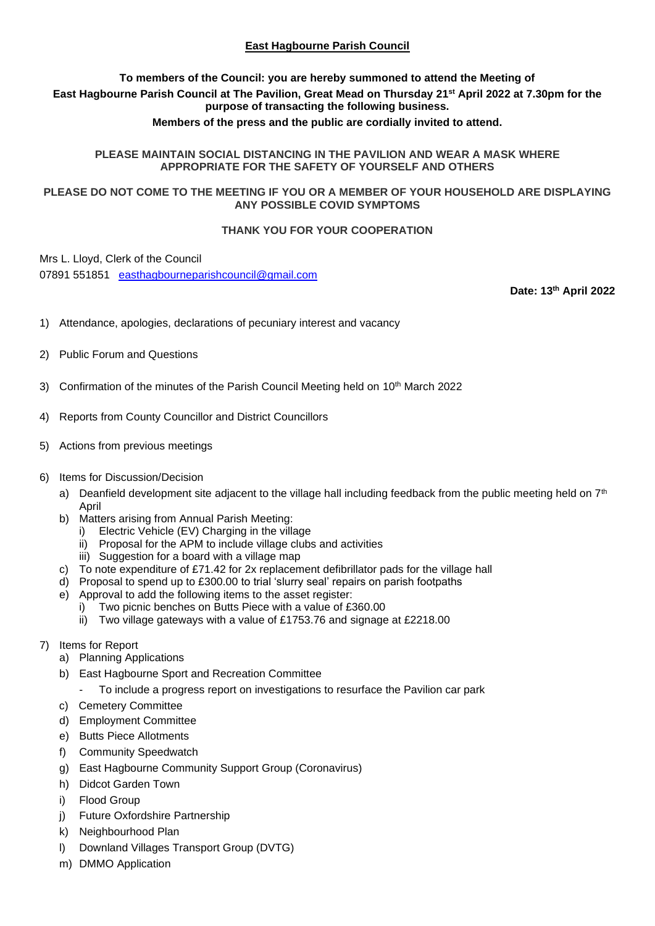## **East Hagbourne Parish Council**

## **To members of the Council: you are hereby summoned to attend the Meeting of East Hagbourne Parish Council at The Pavilion, Great Mead on Thursday 21st April 2022 at 7.30pm for the purpose of transacting the following business.**

### **Members of the press and the public are cordially invited to attend.**

#### **PLEASE MAINTAIN SOCIAL DISTANCING IN THE PAVILION AND WEAR A MASK WHERE APPROPRIATE FOR THE SAFETY OF YOURSELF AND OTHERS**

#### **PLEASE DO NOT COME TO THE MEETING IF YOU OR A MEMBER OF YOUR HOUSEHOLD ARE DISPLAYING ANY POSSIBLE COVID SYMPTOMS**

#### **THANK YOU FOR YOUR COOPERATION**

Mrs L. Lloyd, Clerk of the Council

07891 551851 [easthagbourneparishcouncil@gmail.com](mailto:easthagbourneparishcouncil@gmail.com)

**Date: 13th April 2022**

- 1) Attendance, apologies, declarations of pecuniary interest and vacancy
- 2) Public Forum and Questions
- 3) Confirmation of the minutes of the Parish Council Meeting held on  $10<sup>th</sup>$  March 2022
- 4) Reports from County Councillor and District Councillors
- 5) Actions from previous meetings

#### 6) Items for Discussion/Decision

- a) Deanfield development site adjacent to the village hall including feedback from the public meeting held on  $7<sup>th</sup>$ April
- b) Matters arising from Annual Parish Meeting:
	- i) Electric Vehicle (EV) Charging in the village
	- ii) Proposal for the APM to include village clubs and activities
	- iii) Suggestion for a board with a village map
- c) To note expenditure of £71.42 for 2x replacement defibrillator pads for the village hall
- d) Proposal to spend up to £300.00 to trial 'slurry seal' repairs on parish footpaths
- e) Approval to add the following items to the asset register:
	- Two picnic benches on Butts Piece with a value of £360.00
	- ii) Two village gateways with a value of £1753.76 and signage at £2218.00
- 7) Items for Report
	- a) Planning Applications
	- b) East Hagbourne Sport and Recreation Committee
		- To include a progress report on investigations to resurface the Pavilion car park
	- c) Cemetery Committee
	- d) Employment Committee
	- e) Butts Piece Allotments
	- f) Community Speedwatch
	- g) East Hagbourne Community Support Group (Coronavirus)
	- h) Didcot Garden Town
	- i) Flood Group
	- j) Future Oxfordshire Partnership
	- k) Neighbourhood Plan
	- l) Downland Villages Transport Group (DVTG)
	- m) DMMO Application